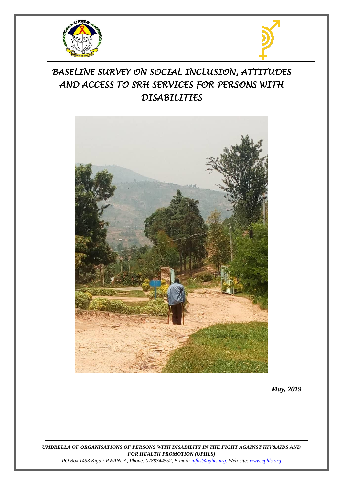



# *BASELINE SURVEY ON SOCIAL INCLUSION, ATTITUDES AND ACCESS TO SRH SERVICES FOR PERSONS WITH DISABILITIES*



*May, 2019*

*UMBRELLA OF ORGANISATIONS OF PERSONS WITH DISABILITY IN THE FIGHT AGAINST HIV&AIDS AND FOR HEALTH PROMOTION (UPHLS)*

*PO Box 1493 Kigali-RWANDA, Phone: 0788344552, E-mail[: infos@uphls.org,](mailto:infos@uphls.org) Web-site[: www.uphls.org](http://www.uphls.org/)*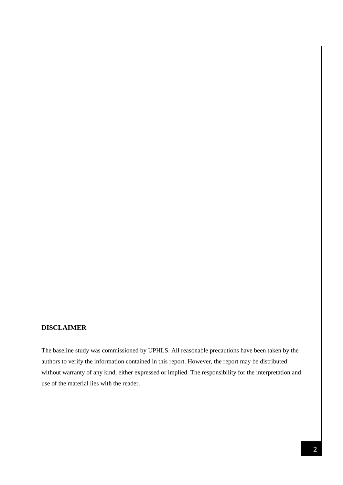# <span id="page-1-0"></span>**DISCLAIMER**

The baseline study was commissioned by UPHLS. All reasonable precautions have been taken by the authors to verify the information contained in this report. However, the report may be distributed without warranty of any kind, either expressed or implied. The responsibility for the interpretation and use of the material lies with the reader.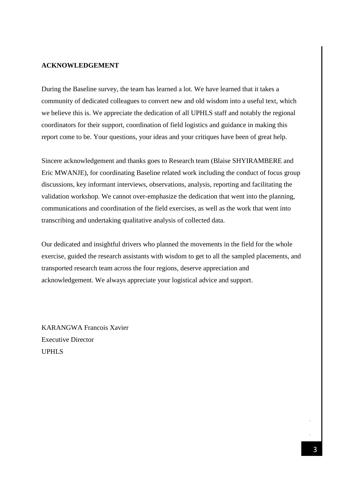#### <span id="page-2-0"></span>**ACKNOWLEDGEMENT**

During the Baseline survey, the team has learned a lot. We have learned that it takes a community of dedicated colleagues to convert new and old wisdom into a useful text, which we believe this is. We appreciate the dedication of all UPHLS staff and notably the regional coordinators for their support, coordination of field logistics and guidance in making this report come to be. Your questions, your ideas and your critiques have been of great help.

Sincere acknowledgement and thanks goes to Research team (Blaise SHYIRAMBERE and Eric MWANJE), for coordinating Baseline related work including the conduct of focus group discussions, key informant interviews, observations, analysis, reporting and facilitating the validation workshop. We cannot over-emphasize the dedication that went into the planning, communications and coordination of the field exercises, as well as the work that went into transcribing and undertaking qualitative analysis of collected data.

Our dedicated and insightful drivers who planned the movements in the field for the whole exercise, guided the research assistants with wisdom to get to all the sampled placements, and transported research team across the four regions, deserve appreciation and acknowledgement. We always appreciate your logistical advice and support.

KARANGWA Francois Xavier Executive Director UPHLS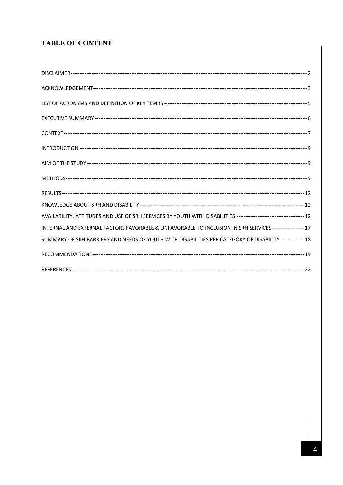# **TABLE OF CONTENT**

| INTERNAL AND EXTERNAL FACTORS FAVORABLE & UNFAVORABLE TO INCLUSION IN SRH SERVICES ----------------- 17  |  |
|----------------------------------------------------------------------------------------------------------|--|
| SUMMARY OF SRH BARRIERS AND NEEDS OF YOUTH WITH DISABILITIES PER CATEGORY OF DISABILITY-------------- 18 |  |
|                                                                                                          |  |
|                                                                                                          |  |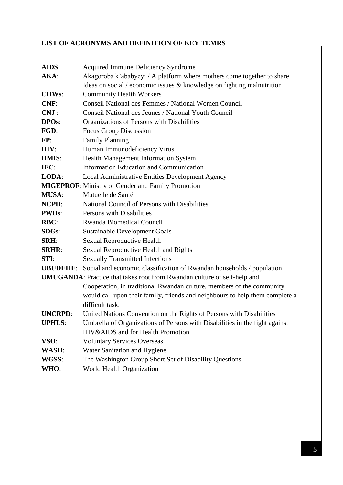# <span id="page-4-0"></span>**LIST OF ACRONYMS AND DEFINITION OF KEY TEMRS**

| AIDS:                                                                           | Acquired Immune Deficiency Syndrome                                                   |  |  |  |  |
|---------------------------------------------------------------------------------|---------------------------------------------------------------------------------------|--|--|--|--|
| AKA:                                                                            | Akagoroba k'ababyeyi / A platform where mothers come together to share                |  |  |  |  |
|                                                                                 | Ideas on social / economic issues $\&$ knowledge on fighting malnutrition             |  |  |  |  |
| <b>CHWs:</b>                                                                    | <b>Community Health Workers</b>                                                       |  |  |  |  |
| CNF:                                                                            | Conseil National des Femmes / National Women Council                                  |  |  |  |  |
| CNJ:                                                                            | Conseil National des Jeunes / National Youth Council                                  |  |  |  |  |
| <b>DPOs:</b>                                                                    | Organizations of Persons with Disabilities                                            |  |  |  |  |
| FGD:                                                                            | <b>Focus Group Discussion</b>                                                         |  |  |  |  |
| FP:                                                                             | <b>Family Planning</b>                                                                |  |  |  |  |
| HIV:                                                                            | Human Immunodeficiency Virus                                                          |  |  |  |  |
| <b>HMIS:</b>                                                                    | Health Management Information System                                                  |  |  |  |  |
| IEC:                                                                            | Information Education and Communication                                               |  |  |  |  |
| LODA:                                                                           | Local Administrative Entities Development Agency                                      |  |  |  |  |
| <b>MIGEPROF:</b> Ministry of Gender and Family Promotion                        |                                                                                       |  |  |  |  |
| <b>MUSA:</b>                                                                    | Mutuelle de Santé                                                                     |  |  |  |  |
| NCPD:                                                                           | National Council of Persons with Disabilities                                         |  |  |  |  |
| <b>PWDs:</b>                                                                    | Persons with Disabilities                                                             |  |  |  |  |
| RBC:                                                                            | Rwanda Biomedical Council                                                             |  |  |  |  |
| <b>SDGs:</b>                                                                    | <b>Sustainable Development Goals</b>                                                  |  |  |  |  |
| <b>SRH:</b>                                                                     | Sexual Reproductive Health                                                            |  |  |  |  |
| <b>SRHR:</b>                                                                    | Sexual Reproductive Health and Rights                                                 |  |  |  |  |
| STI:                                                                            | <b>Sexually Transmitted Infections</b>                                                |  |  |  |  |
|                                                                                 | <b>UBUDEHE:</b> Social and economic classification of Rwandan households / population |  |  |  |  |
| <b>UMUGANDA:</b> Practice that takes root from Rwandan culture of self-help and |                                                                                       |  |  |  |  |
|                                                                                 | Cooperation, in traditional Rwandan culture, members of the community                 |  |  |  |  |
|                                                                                 | would call upon their family, friends and neighbours to help them complete a          |  |  |  |  |
|                                                                                 | difficult task.                                                                       |  |  |  |  |
| <b>UNCRPD:</b>                                                                  | United Nations Convention on the Rights of Persons with Disabilities                  |  |  |  |  |
| <b>UPHLS:</b>                                                                   | Umbrella of Organizations of Persons with Disabilities in the fight against           |  |  |  |  |
|                                                                                 | HIV&AIDS and for Health Promotion                                                     |  |  |  |  |
| VSO:                                                                            | <b>Voluntary Services Overseas</b>                                                    |  |  |  |  |
| WASH:                                                                           | Water Sanitation and Hygiene                                                          |  |  |  |  |
| WGSS:                                                                           | The Washington Group Short Set of Disability Questions                                |  |  |  |  |
| WHO:                                                                            | World Health Organization                                                             |  |  |  |  |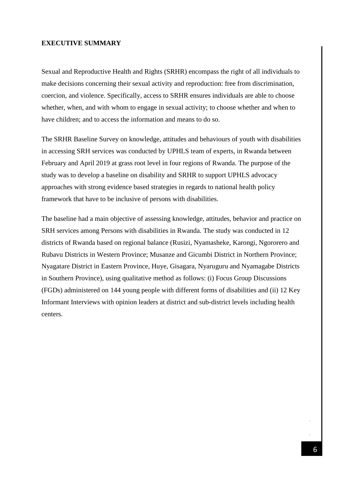#### <span id="page-5-0"></span>**EXECUTIVE SUMMARY**

Sexual and Reproductive Health and Rights (SRHR) encompass the right of all individuals to make decisions concerning their sexual activity and reproduction: free from discrimination, coercion, and violence. Specifically, access to SRHR ensures individuals are able to choose whether, when, and with whom to engage in sexual activity; to choose whether and when to have children; and to access the information and means to do so.

The SRHR Baseline Survey on knowledge, attitudes and behaviours of youth with disabilities in accessing SRH services was conducted by UPHLS team of experts, in Rwanda between February and April 2019 at grass root level in four regions of Rwanda. The purpose of the study was to develop a baseline on disability and SRHR to support UPHLS advocacy approaches with strong evidence based strategies in regards to national health policy framework that have to be inclusive of persons with disabilities.

The baseline had a main objective of assessing knowledge, attitudes, behavior and practice on SRH services among Persons with disabilities in Rwanda. The study was conducted in 12 districts of Rwanda based on regional balance (Rusizi, Nyamasheke, Karongi, Ngororero and Rubavu Districts in Western Province; Musanze and Gicumbi District in Northern Province; Nyagatare District in Eastern Province, Huye, Gisagara, Nyaruguru and Nyamagabe Districts in Southern Province), using qualitative method as follows: (i) Focus Group Discussions (FGDs) administered on 144 young people with different forms of disabilities and (ii) 12 Key Informant Interviews with opinion leaders at district and sub-district levels including health centers.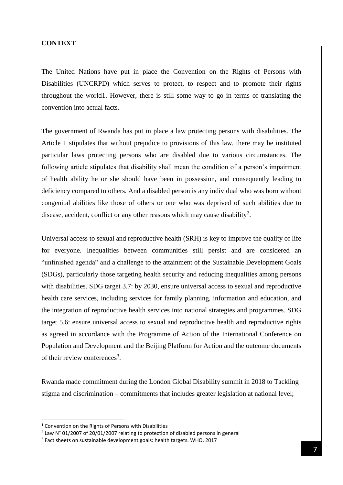#### <span id="page-6-0"></span>**CONTEXT**

The United Nations have put in place the Convention on the Rights of Persons with Disabilities (UNCRPD) which serves to protect, to respect and to promote their rights throughout the world1. However, there is still some way to go in terms of translating the convention into actual facts.

The government of Rwanda has put in place a law protecting persons with disabilities. The Article 1 stipulates that without prejudice to provisions of this law, there may be instituted particular laws protecting persons who are disabled due to various circumstances. The following article stipulates that disability shall mean the condition of a person's impairment of health ability he or she should have been in possession, and consequently leading to deficiency compared to others. And a disabled person is any individual who was born without congenital abilities like those of others or one who was deprived of such abilities due to disease, accident, conflict or any other reasons which may cause disability<sup>2</sup>.

Universal access to sexual and reproductive health (SRH) is key to improve the quality of life for everyone. Inequalities between communities still persist and are considered an "unfinished agenda" and a challenge to the attainment of the Sustainable Development Goals (SDGs), particularly those targeting health security and reducing inequalities among persons with disabilities. SDG target 3.7: by 2030, ensure universal access to sexual and reproductive health care services, including services for family planning, information and education, and the integration of reproductive health services into national strategies and programmes. SDG target 5.6: ensure universal access to sexual and reproductive health and reproductive rights as agreed in accordance with the Programme of Action of the International Conference on Population and Development and the Beijing Platform for Action and the outcome documents of their review conferences<sup>3</sup>.

Rwanda made commitment during the London Global Disability summit in 2018 to Tackling stigma and discrimination – commitments that includes greater legislation at national level;

**.** 

<sup>1</sup> Convention on the Rights of Persons with Disabilities

 $2$  Law N° 01/2007 of 20/01/2007 relating to protection of disabled persons in general

<sup>&</sup>lt;sup>3</sup> Fact sheets on sustainable development goals: health targets. WHO, 2017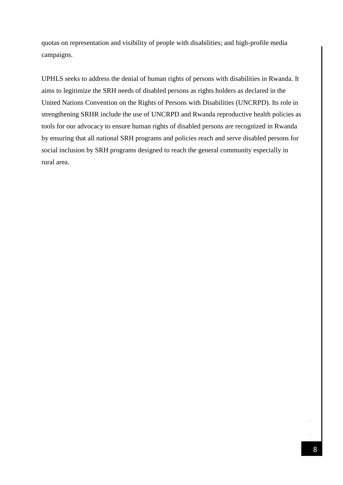quotas on representation and visibility of people with disabilities; and high-profile media campaigns.

UPHLS seeks to address the denial of human rights of persons with disabilities in Rwanda. It aims to legitimize the SRH needs of disabled persons as rights holders as declared in the United Nations Convention on the Rights of Persons with Disabilities (UNCRPD). Its role in strengthening SRHR include the use of UNCRPD and Rwanda reproductive health policies as tools for our advocacy to ensure human rights of disabled persons are recognized in Rwanda by ensuring that all national SRH programs and policies reach and serve disabled persons for social inclusion by SRH programs designed to reach the general community especially in rural area.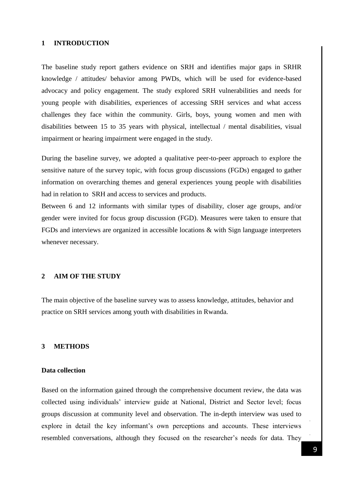#### <span id="page-8-0"></span>**1 INTRODUCTION**

The baseline study report gathers evidence on SRH and identifies major gaps in SRHR knowledge / attitudes/ behavior among PWDs, which will be used for evidence-based advocacy and policy engagement. The study explored SRH vulnerabilities and needs for young people with disabilities, experiences of accessing SRH services and what access challenges they face within the community. Girls, boys, young women and men with disabilities between 15 to 35 years with physical, intellectual / mental disabilities, visual impairment or hearing impairment were engaged in the study.

During the baseline survey, we adopted a qualitative peer-to-peer approach to explore the sensitive nature of the survey topic, with focus group discussions (FGDs) engaged to gather information on overarching themes and general experiences young people with disabilities had in relation to SRH and access to services and products.

Between 6 and 12 informants with similar types of disability, closer age groups, and/or gender were invited for focus group discussion (FGD). Measures were taken to ensure that FGDs and interviews are organized in accessible locations & with Sign language interpreters whenever necessary.

#### <span id="page-8-1"></span>**2 AIM OF THE STUDY**

The main objective of the baseline survey was to assess knowledge, attitudes, behavior and practice on SRH services among youth with disabilities in Rwanda.

#### <span id="page-8-2"></span>**3 METHODS**

#### **Data collection**

Based on the information gained through the comprehensive document review, the data was collected using individuals' interview guide at National, District and Sector level; focus groups discussion at community level and observation. The in-depth interview was used to explore in detail the key informant's own perceptions and accounts. These interviews resembled conversations, although they focused on the researcher's needs for data. They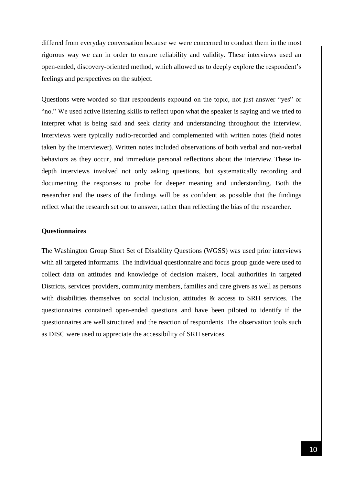differed from everyday conversation because we were concerned to conduct them in the most rigorous way we can in order to ensure reliability and validity. These interviews used an open-ended, discovery-oriented method, which allowed us to deeply explore the respondent's feelings and perspectives on the subject.

Questions were worded so that respondents expound on the topic, not just answer "yes" or "no." We used active listening skills to reflect upon what the speaker is saying and we tried to interpret what is being said and seek clarity and understanding throughout the interview. Interviews were typically audio-recorded and complemented with written notes (field notes taken by the interviewer). Written notes included observations of both verbal and non-verbal behaviors as they occur, and immediate personal reflections about the interview. These indepth interviews involved not only asking questions, but systematically recording and documenting the responses to probe for deeper meaning and understanding. Both the researcher and the users of the findings will be as confident as possible that the findings reflect what the research set out to answer, rather than reflecting the bias of the researcher.

#### **Questionnaires**

The Washington Group Short Set of Disability Questions (WGSS) was used prior interviews with all targeted informants. The individual questionnaire and focus group guide were used to collect data on attitudes and knowledge of decision makers, local authorities in targeted Districts, services providers, community members, families and care givers as well as persons with disabilities themselves on social inclusion, attitudes & access to SRH services. The questionnaires contained open-ended questions and have been piloted to identify if the questionnaires are well structured and the reaction of respondents. The observation tools such as DISC were used to appreciate the accessibility of SRH services.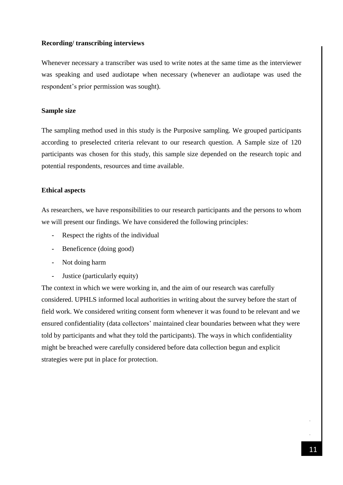### **Recording/ transcribing interviews**

Whenever necessary a transcriber was used to write notes at the same time as the interviewer was speaking and used audiotape when necessary (whenever an audiotape was used the respondent's prior permission was sought).

#### **Sample size**

The sampling method used in this study is the Purposive sampling. We grouped participants according to preselected criteria relevant to our research question. A Sample size of 120 participants was chosen for this study, this sample size depended on the research topic and potential respondents, resources and time available.

#### **Ethical aspects**

As researchers, we have responsibilities to our research participants and the persons to whom we will present our findings. We have considered the following principles:

- Respect the rights of the individual
- Beneficence (doing good)
- Not doing harm
- Justice (particularly equity)

<span id="page-10-0"></span>The context in which we were working in, and the aim of our research was carefully considered. UPHLS informed local authorities in writing about the survey before the start of field work. We considered writing consent form whenever it was found to be relevant and we ensured confidentiality (data collectors' maintained clear boundaries between what they were told by participants and what they told the participants). The ways in which confidentiality might be breached were carefully considered before data collection begun and explicit strategies were put in place for protection.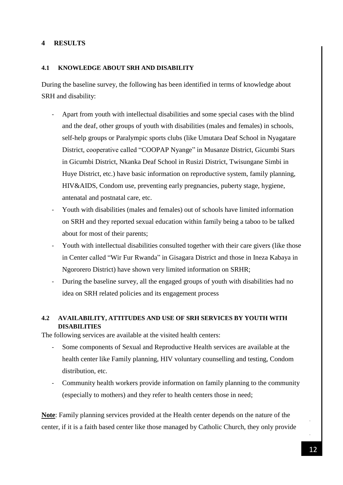# **4 RESULTS**

#### <span id="page-11-0"></span>**4.1 KNOWLEDGE ABOUT SRH AND DISABILITY**

During the baseline survey, the following has been identified in terms of knowledge about SRH and disability:

- Apart from youth with intellectual disabilities and some special cases with the blind and the deaf, other groups of youth with disabilities (males and females) in schools, self-help groups or Paralympic sports clubs (like Umutara Deaf School in Nyagatare District, cooperative called "COOPAP Nyange" in Musanze District, Gicumbi Stars in Gicumbi District, Nkanka Deaf School in Rusizi District, Twisungane Simbi in Huye District, etc.) have basic information on reproductive system, family planning, HIV&AIDS, Condom use, preventing early pregnancies, puberty stage, hygiene, antenatal and postnatal care, etc.
- Youth with disabilities (males and females) out of schools have limited information on SRH and they reported sexual education within family being a taboo to be talked about for most of their parents;
- Youth with intellectual disabilities consulted together with their care givers (like those in Center called "Wir Fur Rwanda" in Gisagara District and those in Ineza Kabaya in Ngororero District) have shown very limited information on SRHR;
- During the baseline survey, all the engaged groups of youth with disabilities had no idea on SRH related policies and its engagement process

# <span id="page-11-1"></span>**4.2 AVAILABILITY, ATTITUDES AND USE OF SRH SERVICES BY YOUTH WITH DISABILITIES**

The following services are available at the visited health centers:

- Some components of Sexual and Reproductive Health services are available at the health center like Family planning, HIV voluntary counselling and testing, Condom distribution, etc.
- Community health workers provide information on family planning to the community (especially to mothers) and they refer to health centers those in need;

**Note**: Family planning services provided at the Health center depends on the nature of the center, if it is a faith based center like those managed by Catholic Church, they only provide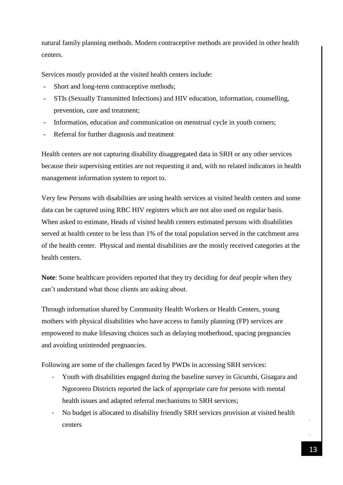natural family planning methods. Modern contraceptive methods are provided in other health centers.

Services mostly provided at the visited health centers include:

- Short and long-term contraceptive methods;
- STIs (Sexually Transmitted Infections) and HIV education, information, counselling, prevention, care and treatment;
- Information, education and communication on menstrual cycle in youth corners;
- Referral for further diagnosis and treatment

Health centers are not capturing disability disaggregated data in SRH or any other services because their supervising entities are not requesting it and, with no related indicators in health management information system to report to.

Very few Persons with disabilities are using health services at visited health centers and some data can be captured using RBC HIV registers which are not also used on regular basis. When asked to estimate, Heads of visited health centers estimated persons with disabilities served at health center to be less than 1% of the total population served in the catchment area of the health center. Physical and mental disabilities are the mostly received categories at the health centers.

**Note**: Some healthcare providers reported that they try deciding for deaf people when they can't understand what those clients are asking about.

Through information shared by Community Health Workers or Health Centers, young mothers with physical disabilities who have access to family planning (FP) services are empowered to make lifesaving choices such as delaying motherhood, spacing pregnancies and avoiding unintended pregnancies.

Following are some of the challenges faced by PWDs in accessing SRH services:

- Youth with disabilities engaged during the baseline survey in Gicumbi, Gisagara and Ngororero Districts reported the lack of appropriate care for persons with mental health issues and adapted referral mechanisms to SRH services;
- No budget is allocated to disability friendly SRH services provision at visited health centers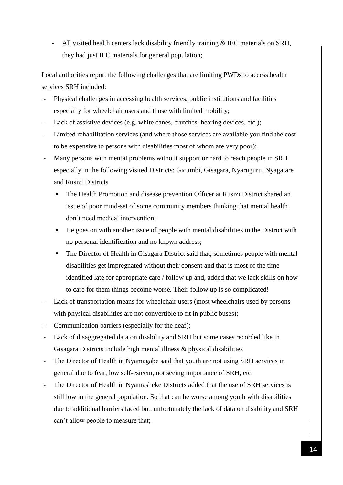- All visited health centers lack disability friendly training & IEC materials on SRH, they had just IEC materials for general population;

Local authorities report the following challenges that are limiting PWDs to access health services SRH included:

- Physical challenges in accessing health services, public institutions and facilities especially for wheelchair users and those with limited mobility;
- Lack of assistive devices (e.g. white canes, crutches, hearing devices, etc.);
- Limited rehabilitation services (and where those services are available you find the cost to be expensive to persons with disabilities most of whom are very poor);
- Many persons with mental problems without support or hard to reach people in SRH especially in the following visited Districts: Gicumbi, Gisagara, Nyaruguru, Nyagatare and Rusizi Districts
	- The Health Promotion and disease prevention Officer at Rusizi District shared an issue of poor mind-set of some community members thinking that mental health don't need medical intervention;
	- $\blacksquare$  He goes on with another issue of people with mental disabilities in the District with no personal identification and no known address;
	- The Director of Health in Gisagara District said that, sometimes people with mental disabilities get impregnated without their consent and that is most of the time identified late for appropriate care / follow up and, added that we lack skills on how to care for them things become worse. Their follow up is so complicated!
- Lack of transportation means for wheelchair users (most wheelchairs used by persons with physical disabilities are not convertible to fit in public buses);
- Communication barriers (especially for the deaf);
- Lack of disaggregated data on disability and SRH but some cases recorded like in Gisagara Districts include high mental illness & physical disabilities
- The Director of Health in Nyamagabe said that youth are not using SRH services in general due to fear, low self-esteem, not seeing importance of SRH, etc.
- The Director of Health in Nyamasheke Districts added that the use of SRH services is still low in the general population. So that can be worse among youth with disabilities due to additional barriers faced but, unfortunately the lack of data on disability and SRH can't allow people to measure that;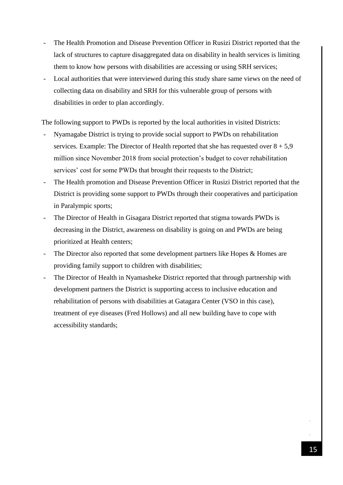- The Health Promotion and Disease Prevention Officer in Rusizi District reported that the lack of structures to capture disaggregated data on disability in health services is limiting them to know how persons with disabilities are accessing or using SRH services;
- Local authorities that were interviewed during this study share same views on the need of collecting data on disability and SRH for this vulnerable group of persons with disabilities in order to plan accordingly.

The following support to PWDs is reported by the local authorities in visited Districts:

- Nyamagabe District is trying to provide social support to PWDs on rehabilitation services. Example: The Director of Health reported that she has requested over  $8 + 5.9$ million since November 2018 from social protection's budget to cover rehabilitation services' cost for some PWDs that brought their requests to the District;
- The Health promotion and Disease Prevention Officer in Rusizi District reported that the District is providing some support to PWDs through their cooperatives and participation in Paralympic sports;
- The Director of Health in Gisagara District reported that stigma towards PWDs is decreasing in the District, awareness on disability is going on and PWDs are being prioritized at Health centers;
- The Director also reported that some development partners like Hopes & Homes are providing family support to children with disabilities;
- The Director of Health in Nyamasheke District reported that through partnership with development partners the District is supporting access to inclusive education and rehabilitation of persons with disabilities at Gatagara Center (VSO in this case), treatment of eye diseases (Fred Hollows) and all new building have to cope with accessibility standards;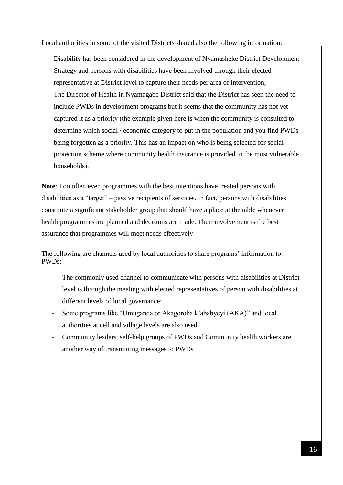Local authorities in some of the visited Districts shared also the following information:

- Disability has been considered in the development of Nyamasheke District Development Strategy and persons with disabilities have been involved through their elected representative at District level to capture their needs per area of intervention;
- The Director of Health in Nyamagabe District said that the District has seen the need to include PWDs in development programs but it seems that the community has not yet captured it as a priority (the example given here is when the community is consulted to determine which social / economic category to put in the population and you find PWDs being forgotten as a priority. This has an impact on who is being selected for social protection scheme where community health insurance is provided to the most vulnerable households).

**Note**: Too often even programmes with the best intentions have treated persons with disabilities as a "target" – passive recipients of services. In fact, persons with disabilities constitute a significant stakeholder group that should have a place at the table whenever health programmes are planned and decisions are made. Their involvement is the best assurance that programmes will meet needs effectively

The following are channels used by local authorities to share programs' information to PWDs:

- The commonly used channel to communicate with persons with disabilities at District level is through the meeting with elected representatives of person with disabilities at different levels of local governance;
- Some programs like "Umuganda or Akagoroba k'ababyeyi (AKA)" and local authorities at cell and village levels are also used
- Community leaders, self-help groups of PWDs and Community health workers are another way of transmitting messages to PWDs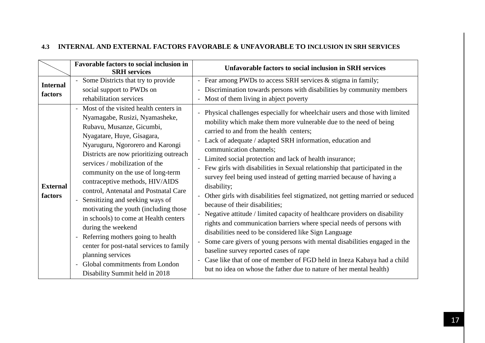# **4.3 INTERNAL AND EXTERNAL FACTORS FAVORABLE & UNFAVORABLE TO INCLUSION IN SRH SERVICES**

<span id="page-16-0"></span>

|                            | Favorable factors to social inclusion in<br><b>SRH</b> services                                                                                                                                                                                                                                                                                                                                                                                                                                                                                                                                                                  | Unfavorable factors to social inclusion in SRH services                                                                                                                                                                                                                                                                                                                                                                                                                                                                                                                                                                                                                                                                                                                                                                                                                                                                                                                                                                                               |
|----------------------------|----------------------------------------------------------------------------------------------------------------------------------------------------------------------------------------------------------------------------------------------------------------------------------------------------------------------------------------------------------------------------------------------------------------------------------------------------------------------------------------------------------------------------------------------------------------------------------------------------------------------------------|-------------------------------------------------------------------------------------------------------------------------------------------------------------------------------------------------------------------------------------------------------------------------------------------------------------------------------------------------------------------------------------------------------------------------------------------------------------------------------------------------------------------------------------------------------------------------------------------------------------------------------------------------------------------------------------------------------------------------------------------------------------------------------------------------------------------------------------------------------------------------------------------------------------------------------------------------------------------------------------------------------------------------------------------------------|
| <b>Internal</b><br>factors | Some Districts that try to provide<br>social support to PWDs on<br>rehabilitation services<br>Most of the visited health centers in<br>Nyamagabe, Rusizi, Nyamasheke,                                                                                                                                                                                                                                                                                                                                                                                                                                                            | - Fear among PWDs to access SRH services & stigma in family;<br>Discrimination towards persons with disabilities by community members<br>Most of them living in abject poverty<br>Physical challenges especially for wheelchair users and those with limited                                                                                                                                                                                                                                                                                                                                                                                                                                                                                                                                                                                                                                                                                                                                                                                          |
| <b>External</b><br>factors | Rubavu, Musanze, Gicumbi,<br>Nyagatare, Huye, Gisagara,<br>Nyaruguru, Ngororero and Karongi<br>Districts are now prioritizing outreach<br>services / mobilization of the<br>community on the use of long-term<br>contraceptive methods, HIV/AIDS<br>control, Antenatal and Postnatal Care<br>Sensitizing and seeking ways of<br>motivating the youth (including those<br>in schools) to come at Health centers<br>during the weekend<br>Referring mothers going to health<br>$\blacksquare$<br>center for post-natal services to family<br>planning services<br>Global commitments from London<br>Disability Summit held in 2018 | mobility which make them more vulnerable due to the need of being<br>carried to and from the health centers;<br>Lack of adequate / adapted SRH information, education and<br>communication channels;<br>- Limited social protection and lack of health insurance;<br>Few girls with disabilities in Sexual relationship that participated in the<br>survey feel being used instead of getting married because of having a<br>disability;<br>Other girls with disabilities feel stigmatized, not getting married or seduced<br>because of their disabilities;<br>Negative attitude / limited capacity of healthcare providers on disability<br>rights and communication barriers where special needs of persons with<br>disabilities need to be considered like Sign Language<br>Some care givers of young persons with mental disabilities engaged in the<br>baseline survey reported cases of rape<br>Case like that of one of member of FGD held in Ineza Kabaya had a child<br>but no idea on whose the father due to nature of her mental health) |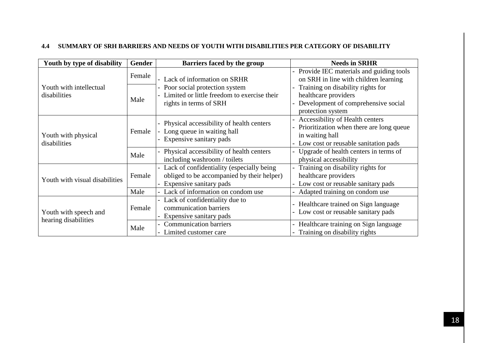# **4.4 SUMMARY OF SRH BARRIERS AND NEEDS OF YOUTH WITH DISABILITIES PER CATEGORY OF DISABILITY**

<span id="page-17-0"></span>

| Youth by type of disability                   | <b>Gender</b> | Barriers faced by the group                                                                                        | <b>Needs in SRHR</b>                                                                                                                   |
|-----------------------------------------------|---------------|--------------------------------------------------------------------------------------------------------------------|----------------------------------------------------------------------------------------------------------------------------------------|
| Youth with intellectual<br>disabilities       | Female        | Lack of information on SRHR<br>Poor social protection system                                                       | Provide IEC materials and guiding tools<br>on SRH in line with children learning<br>Training on disability rights for                  |
|                                               | Male          | Limited or little freedom to exercise their<br>rights in terms of SRH                                              | healthcare providers<br>Development of comprehensive social<br>protection system                                                       |
| Youth with physical<br>disabilities           | Female        | Physical accessibility of health centers<br>Long queue in waiting hall<br>Expensive sanitary pads                  | Accessibility of Health centers<br>Prioritization when there are long queue<br>in waiting hall<br>Low cost or reusable sanitation pads |
|                                               | Male          | Physical accessibility of health centers<br>including washroom / toilets                                           | Upgrade of health centers in terms of<br>physical accessibility                                                                        |
| Youth with visual disabilities                | Female        | Lack of confidentiality (especially being<br>obliged to be accompanied by their helper)<br>Expensive sanitary pads | Training on disability rights for<br>healthcare providers<br>Low cost or reusable sanitary pads                                        |
|                                               | Male          | Lack of information on condom use                                                                                  | Adapted training on condom use                                                                                                         |
| Youth with speech and<br>hearing disabilities | Female        | - Lack of confidentiality due to<br>communication barriers<br>Expensive sanitary pads                              | Healthcare trained on Sign language<br>Low cost or reusable sanitary pads                                                              |
|                                               | Male          | <b>Communication barriers</b><br>Limited customer care                                                             | Healthcare training on Sign language<br>Training on disability rights                                                                  |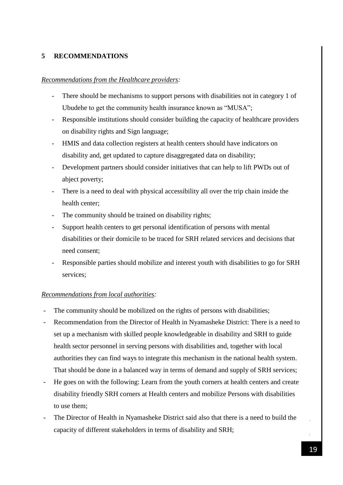# <span id="page-18-0"></span>**5 RECOMMENDATIONS**

# *Recommendations from the Healthcare providers:*

- There should be mechanisms to support persons with disabilities not in category 1 of Ubudehe to get the community health insurance known as "MUSA";
- Responsible institutions should consider building the capacity of healthcare providers on disability rights and Sign language;
- HMIS and data collection registers at health centers should have indicators on disability and, get updated to capture disaggregated data on disability;
- Development partners should consider initiatives that can help to lift PWDs out of abject poverty;
- There is a need to deal with physical accessibility all over the trip chain inside the health center;
- The community should be trained on disability rights;
- Support health centers to get personal identification of persons with mental disabilities or their domicile to be traced for SRH related services and decisions that need consent;
- Responsible parties should mobilize and interest youth with disabilities to go for SRH services;

# *Recommendations from local authorities:*

- The community should be mobilized on the rights of persons with disabilities;
- Recommendation from the Director of Health in Nyamasheke District: There is a need to set up a mechanism with skilled people knowledgeable in disability and SRH to guide health sector personnel in serving persons with disabilities and, together with local authorities they can find ways to integrate this mechanism in the national health system. That should be done in a balanced way in terms of demand and supply of SRH services;
- He goes on with the following: Learn from the youth corners at health centers and create disability friendly SRH corners at Health centers and mobilize Persons with disabilities to use them;
- The Director of Health in Nyamasheke District said also that there is a need to build the capacity of different stakeholders in terms of disability and SRH;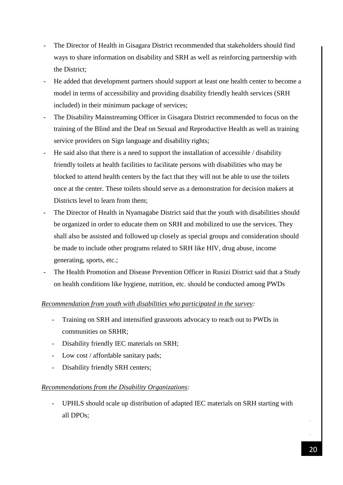- The Director of Health in Gisagara District recommended that stakeholders should find ways to share information on disability and SRH as well as reinforcing partnership with the District;
- He added that development partners should support at least one health center to become a model in terms of accessibility and providing disability friendly health services (SRH included) in their minimum package of services;
- The Disability Mainstreaming Officer in Gisagara District recommended to focus on the training of the Blind and the Deaf on Sexual and Reproductive Health as well as training service providers on Sign language and disability rights;
- He said also that there is a need to support the installation of accessible / disability friendly toilets at health facilities to facilitate persons with disabilities who may be blocked to attend health centers by the fact that they will not be able to use the toilets once at the center. These toilets should serve as a demonstration for decision makers at Districts level to learn from them;
- The Director of Health in Nyamagabe District said that the youth with disabilities should be organized in order to educate them on SRH and mobilized to use the services. They shall also be assisted and followed up closely as special groups and consideration should be made to include other programs related to SRH like HIV, drug abuse, income generating, sports, etc.;
- The Health Promotion and Disease Prevention Officer in Rusizi District said that a Study on health conditions like hygiene, nutrition, etc. should be conducted among PWDs

# *Recommendation from youth with disabilities who participated in the survey:*

- Training on SRH and intensified grassroots advocacy to reach out to PWDs in communities on SRHR;
- Disability friendly IEC materials on SRH;
- Low cost / affordable sanitary pads;
- Disability friendly SRH centers;

# *Recommendations from the Disability Organizations:*

- UPHLS should scale up distribution of adapted IEC materials on SRH starting with all DPOs;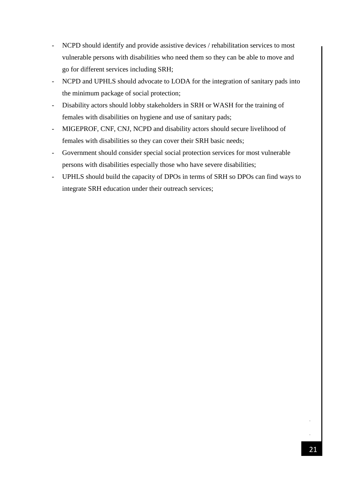- NCPD should identify and provide assistive devices / rehabilitation services to most vulnerable persons with disabilities who need them so they can be able to move and go for different services including SRH;
- NCPD and UPHLS should advocate to LODA for the integration of sanitary pads into the minimum package of social protection;
- Disability actors should lobby stakeholders in SRH or WASH for the training of females with disabilities on hygiene and use of sanitary pads;
- MIGEPROF, CNF, CNJ, NCPD and disability actors should secure livelihood of females with disabilities so they can cover their SRH basic needs;
- Government should consider special social protection services for most vulnerable persons with disabilities especially those who have severe disabilities;
- <span id="page-20-0"></span>- UPHLS should build the capacity of DPOs in terms of SRH so DPOs can find ways to integrate SRH education under their outreach services;